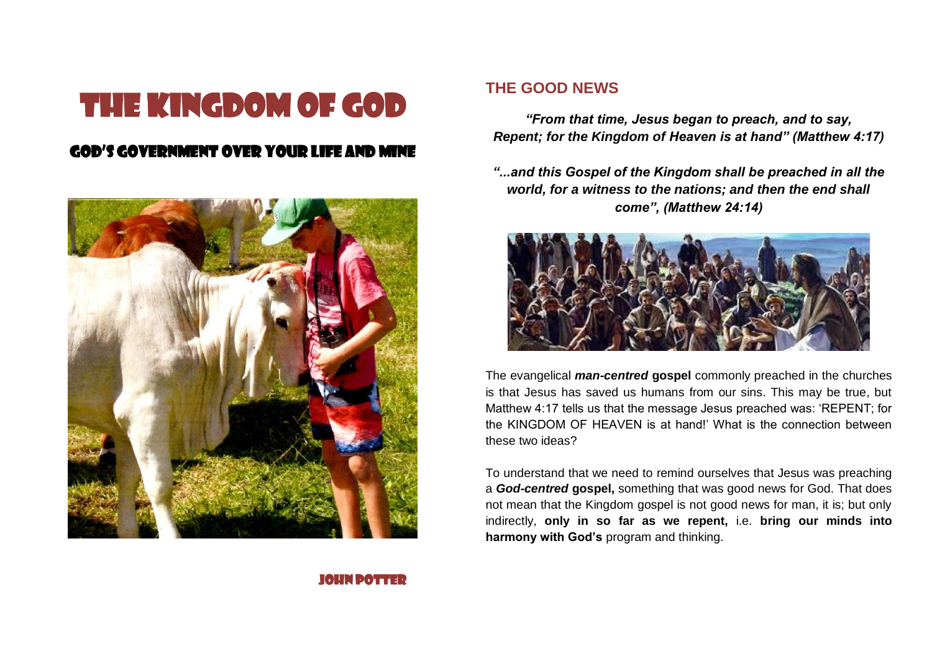# THE KINGDOM OF GOD

## GOD'S GOVERNMENT OVER YOUR LIFE AND MINE



#### **THE GOOD NEWS**

*"From that time, Jesus began to preach, and to say, Repent; for the Kingdom of Heaven is at hand" (Matthew 4:17)*

*"...and this Gospel of the Kingdom shall be preached in all the world, for a witness to the nations; and then the end shall come", (Matthew 24:14)*



The evangelical *man-centred* **gospel** commonly preached in the churches is that Jesus has saved us humans from our sins. This may be true, but Matthew 4:17 tells us that the message Jesus preached was: 'REPENT; for the KINGDOM OF HEAVEN is at hand!' What is the connection between these two ideas?

To understand that we need to remind ourselves that Jesus was preaching a *God-centred* **gospel,** something that was good news for God. That does not mean that the Kingdom gospel is not good news for man, it is; but only indirectly, **only in so far as we repent,** i.e. **bring our minds into harmony with God's** program and thinking.

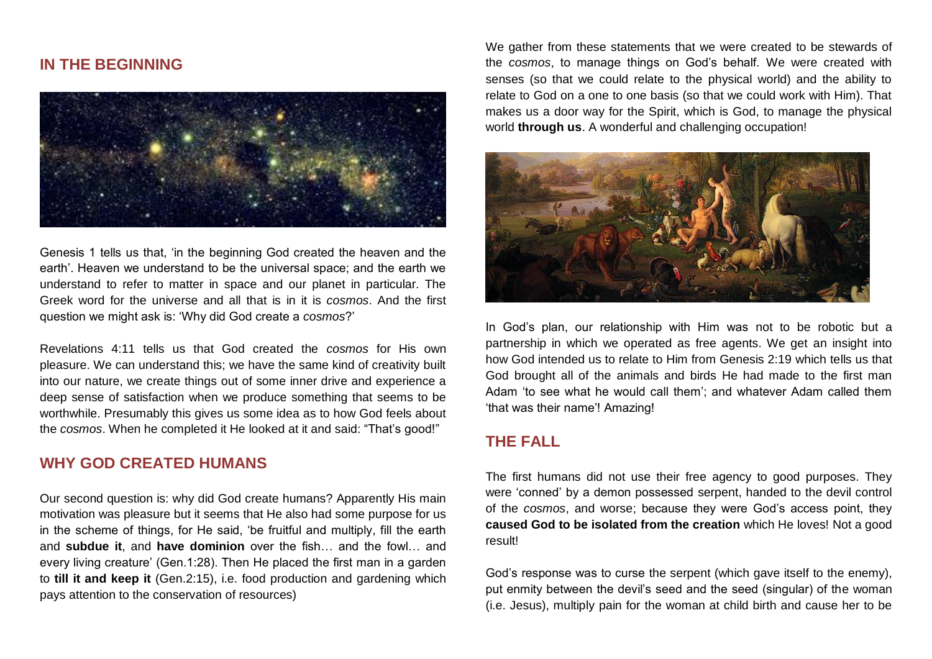#### **IN THE BEGINNING**



Genesis 1 tells us that, 'in the beginning God created the heaven and the earth'. Heaven we understand to be the universal space; and the earth we understand to refer to matter in space and our planet in particular. The Greek word for the universe and all that is in it is *cosmos*. And the first question we might ask is: 'Why did God create a *cosmos*?'

Revelations 4:11 tells us that God created the *cosmos* for His own pleasure. We can understand this; we have the same kind of creativity built into our nature, we create things out of some inner drive and experience a deep sense of satisfaction when we produce something that seems to be worthwhile. Presumably this gives us some idea as to how God feels about the *cosmos*. When he completed it He looked at it and said: "That's good!"

### **WHY GOD CREATED HUMANS**

Our second question is: why did God create humans? Apparently His main motivation was pleasure but it seems that He also had some purpose for us in the scheme of things, for He said, 'be fruitful and multiply, fill the earth and **subdue it**, and **have dominion** over the fish… and the fowl… and every living creature' (Gen.1:28). Then He placed the first man in a garden to **till it and keep it** (Gen.2:15), i.e. food production and gardening which pays attention to the conservation of resources)

We gather from these statements that we were created to be stewards of the *cosmos*, to manage things on God's behalf. We were created with senses (so that we could relate to the physical world) and the ability to relate to God on a one to one basis (so that we could work with Him). That makes us a door way for the Spirit, which is God, to manage the physical world **through us**. A wonderful and challenging occupation!



In God's plan, our relationship with Him was not to be robotic but a partnership in which we operated as free agents. We get an insight into how God intended us to relate to Him from Genesis 2:19 which tells us that God brought all of the animals and birds He had made to the first man Adam 'to see what he would call them'; and whatever Adam called them 'that was their name'! Amazing!

#### **THE FALL**

The first humans did not use their free agency to good purposes. They were 'conned' by a demon possessed serpent, handed to the devil control of the *cosmos*, and worse; because they were God's access point, they **caused God to be isolated from the creation** which He loves! Not a good result!

God's response was to curse the serpent (which gave itself to the enemy), put enmity between the devil's seed and the seed (singular) of the woman (i.e. Jesus), multiply pain for the woman at child birth and cause her to be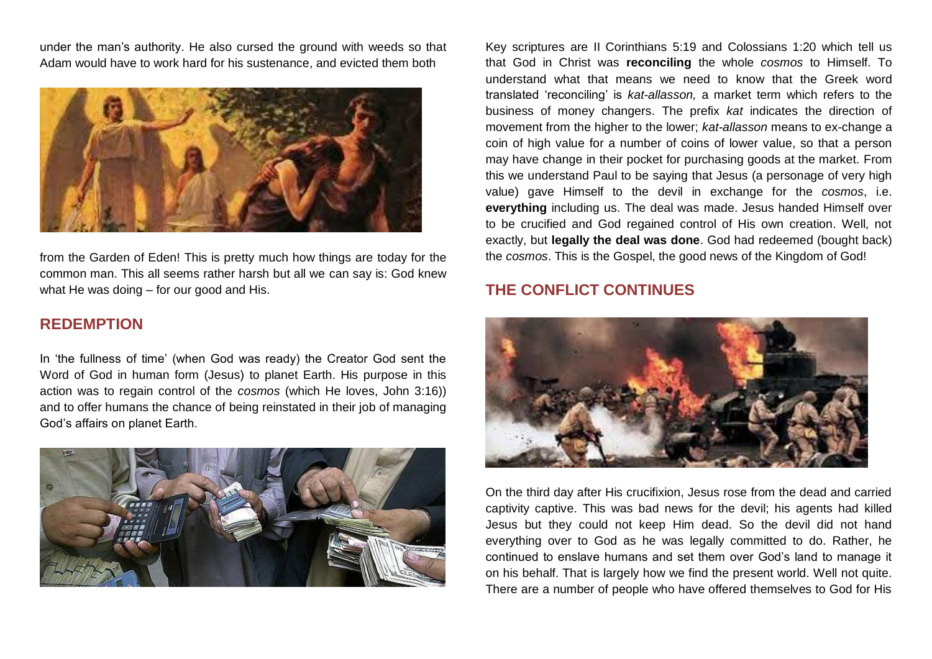under the man's authority. He also cursed the ground with weeds so that Adam would have to work hard for his sustenance, and evicted them both



from the Garden of Eden! This is pretty much how things are today for the common man. This all seems rather harsh but all we can say is: God knew what He was doing – for our good and His.

#### **REDEMPTION**

In 'the fullness of time' (when God was ready) the Creator God sent the Word of God in human form (Jesus) to planet Earth. His purpose in this action was to regain control of the *cosmos* (which He loves, John 3:16)) and to offer humans the chance of being reinstated in their job of managing God's affairs on planet Earth.



Key scriptures are II Corinthians 5:19 and Colossians 1:20 which tell us that God in Christ was **reconciling** the whole *cosmos* to Himself. To understand what that means we need to know that the Greek word translated 'reconciling' is *kat-allasson,* a market term which refers to the business of money changers. The prefix *kat* indicates the direction of movement from the higher to the lower; *kat-allasson* means to ex-change a coin of high value for a number of coins of lower value, so that a person may have change in their pocket for purchasing goods at the market. From this we understand Paul to be saying that Jesus (a personage of very high value) gave Himself to the devil in exchange for the *cosmos*, i.e. **everything** including us. The deal was made. Jesus handed Himself over to be crucified and God regained control of His own creation. Well, not exactly, but **legally the deal was done**. God had redeemed (bought back) the *cosmos*. This is the Gospel, the good news of the Kingdom of God!

## **THE CONFLICT CONTINUES**



On the third day after His crucifixion, Jesus rose from the dead and carried captivity captive. This was bad news for the devil; his agents had killed Jesus but they could not keep Him dead. So the devil did not hand everything over to God as he was legally committed to do. Rather, he continued to enslave humans and set them over God's land to manage it on his behalf. That is largely how we find the present world. Well not quite. There are a number of people who have offered themselves to God for His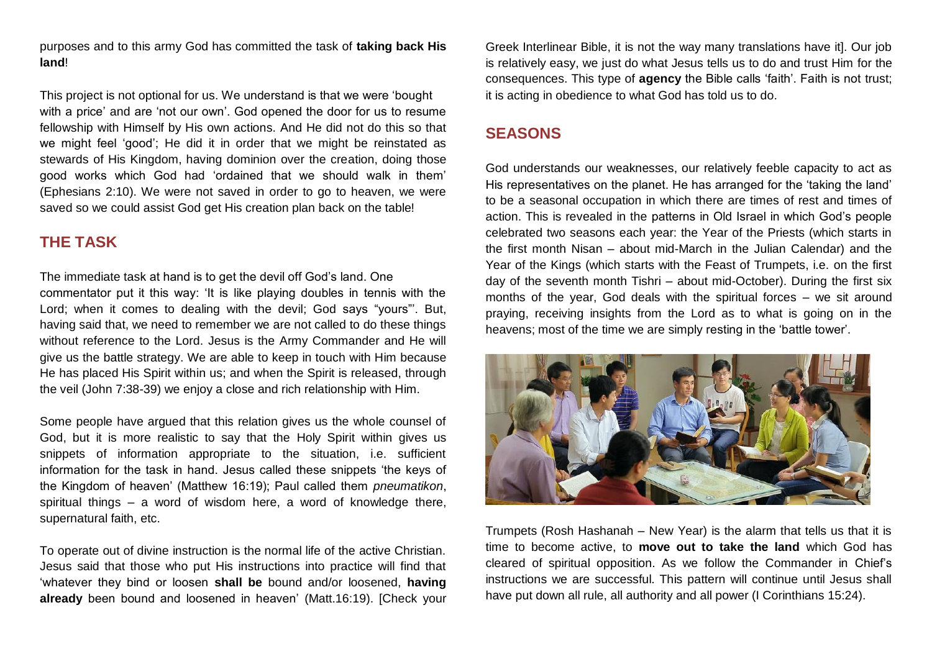purposes and to this army God has committed the task of **taking back His land**!

This project is not optional for us. We understand is that we were 'bought with a price' and are 'not our own'. God opened the door for us to resume fellowship with Himself by His own actions. And He did not do this so that we might feel 'good'; He did it in order that we might be reinstated as stewards of His Kingdom, having dominion over the creation, doing those good works which God had 'ordained that we should walk in them' (Ephesians 2:10). We were not saved in order to go to heaven, we were saved so we could assist God get His creation plan back on the table!

## **THE TASK**

The immediate task at hand is to get the devil off God's land. One commentator put it this way: 'It is like playing doubles in tennis with the Lord; when it comes to dealing with the devil; God says "yours"'. But, having said that, we need to remember we are not called to do these things without reference to the Lord. Jesus is the Army Commander and He will give us the battle strategy. We are able to keep in touch with Him because He has placed His Spirit within us; and when the Spirit is released, through the veil (John 7:38-39) we enjoy a close and rich relationship with Him.

Some people have argued that this relation gives us the whole counsel of God, but it is more realistic to say that the Holy Spirit within gives us snippets of information appropriate to the situation, i.e. sufficient information for the task in hand. Jesus called these snippets 'the keys of the Kingdom of heaven' (Matthew 16:19); Paul called them *pneumatikon*, spiritual things – a word of wisdom here, a word of knowledge there, supernatural faith, etc.

To operate out of divine instruction is the normal life of the active Christian. Jesus said that those who put His instructions into practice will find that 'whatever they bind or loosen **shall be** bound and/or loosened, **having already** been bound and loosened in heaven' (Matt.16:19). [Check your Greek Interlinear Bible, it is not the way many translations have it]. Our job is relatively easy, we just do what Jesus tells us to do and trust Him for the consequences. This type of **agency** the Bible calls 'faith'. Faith is not trust; it is acting in obedience to what God has told us to do.

## **SEASONS**

God understands our weaknesses, our relatively feeble capacity to act as His representatives on the planet. He has arranged for the 'taking the land' to be a seasonal occupation in which there are times of rest and times of action. This is revealed in the patterns in Old Israel in which God's people celebrated two seasons each year: the Year of the Priests (which starts in the first month Nisan – about mid-March in the Julian Calendar) and the Year of the Kings (which starts with the Feast of Trumpets, i.e. on the first day of the seventh month Tishri – about mid-October). During the first six months of the year. God deals with the spiritual forces – we sit around praying, receiving insights from the Lord as to what is going on in the heavens; most of the time we are simply resting in the 'battle tower'.



Trumpets (Rosh Hashanah – New Year) is the alarm that tells us that it is time to become active, to **move out to take the land** which God has cleared of spiritual opposition. As we follow the Commander in Chief's instructions we are successful. This pattern will continue until Jesus shall have put down all rule, all authority and all power (I Corinthians 15:24).